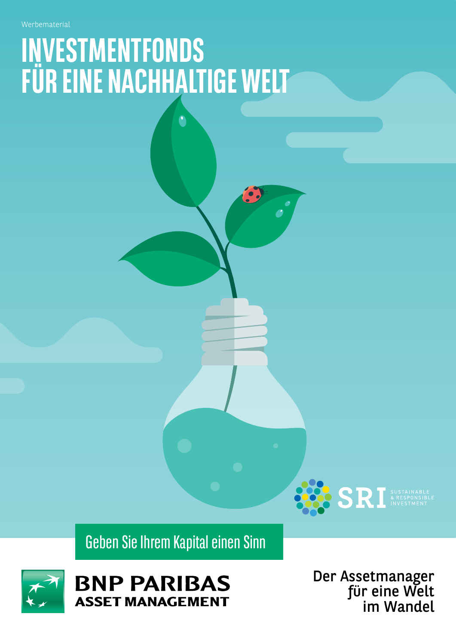# **INVESTMENTFONDS FÜR EINE NACHHALTIGE WELT**

Geben Sie Ihrem Kapital einen Sinn



Der Assetmanager für eine Welt im Wandel

**SRI SUSTAINABLE**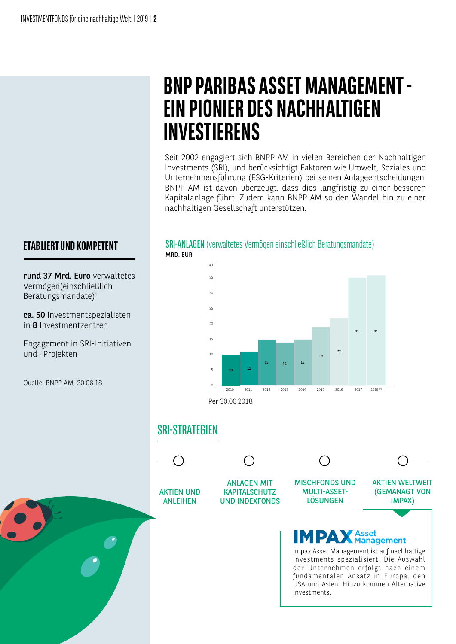#### **ETABLIERT UND KOMPETENT**

rund 37 Mrd. Euro verwaltetes Vermögen(einschließlich Beratungsmandate)1

ca. 50 Investmentspezialisten in 8 Investmentzentren

Engagement in SRI-Initiativen und -Projekten

Quelle: BNPP AM, 30.06.18

### **BNP PARIBAS ASSET MANAGEMENT - EIN PIONIER DES NACHHALTIGEN INVESTIERENS**

Seit 2002 engagiert sich BNPP AM in vielen Bereichen der Nachhaltigen Investments (SRI), und berücksichtigt Faktoren wie Umwelt, Soziales und Unternehmensführung (ESG-Kriterien) bei seinen Anlageentscheidungen. BNPP AM ist davon überzeugt, dass dies langfristig zu einer besseren Kapitalanlage führt. Zudem kann BNPP AM so den Wandel hin zu einer nachhaltigen Gesellschaft unterstützen.

SRI-ANLAGEN (verwaltetes Vermögen einschließlich Beratungsmandate)

#### $22$ 10 11 15 14 15 19 5 10 15 20 25 2010 2011 2012 2013 2014 2015 2016 30 35 35 2017 40 37  $2018$ Per 30.06.2018

#### SRI-STRATEGIEN

MRD. EUR



Investments spezialisiert. Die Auswahl der Unternehmen erfolgt nach einem fundamentalen Ansatz in Europa, den USA und Asien. Hinzu kommen Alternative Investments.

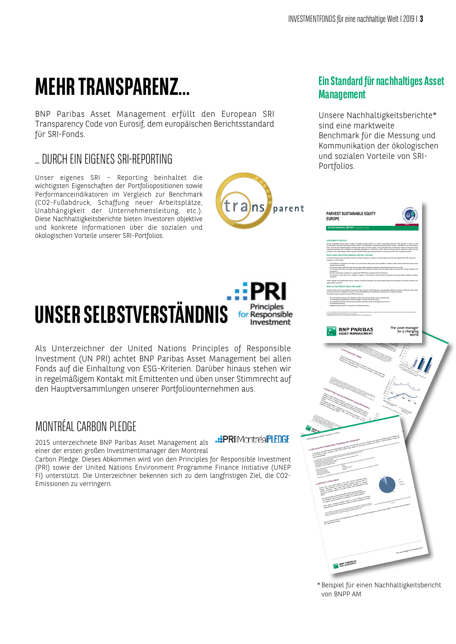## **MEHR TRANSPARENZ...**

BNP Paribas Asset Management erfüllt den European SRI Transparency Code von Eurosif, dem europäischen Berichtsstandard für SRI-Fonds.

#### … DURCH EIN EIGENES SRI-REPORTING

Unser eigenes SRI – Reporting beinhaltet die wichtigsten Eigenschaften der Portfoliopositionen sowie Performanceindikatoren im Vergleich zur Benchmark (CO2-Fußabdruck, Schaffung neuer Arbeitsplätze, Unabhängigkeit der Unternehmensleitung, etc.). Diese Nachhaltigkeitsberichte bieten Investoren objektive und konkrete Informationen über die sozialen und ökologischen Vorteile unserer SRI-Portfolios.

#### **UNSER SELBSTVERSTÄNDNIS** for Responsible Investment

Als Unterzeichner der United Nations Principles of Responsible Investment (UN PRI) achtet BNP Paribas Asset Management bei allen Fonds auf die Einhaltung von ESG-Kriterien. Darüber hinaus stehen wir in regelmäßigem Kontakt mit Emittenten und üben unser Stimmrecht auf den Hauptversammlungen unserer Portfoliounternehmen aus.

#### MONTRÉAL CARBON PLEDGE

.: PRIIMontréalPLEDGE

tra)ns

einer der ersten großen Investmentmanager den Montreal Carbon Pledge. Dieses Abkommen wird von den Principles for Responsible Investment

2015 unterzeichnete BNP Paribas Asset Management als

(PRI) sowie der United Nations Environment Programme Finance Initiative (UNEP FI) unterstützt. Die Unterzeichner bekennen sich zu dem langfristigen Ziel, die CO2- Emissionen zu verringern.

#### **Ein Standard für nachhaltiges Asset Management**

Unsere Nachhaltigkeitsberichte\* sind eine marktweite Benchmark für die Messung und Kommunikation der ökologischen und sozialen Vorteile von SRI-Portfolios.



\*Beispiel für einen Nachhaltigkeitsbericht von BNPP AM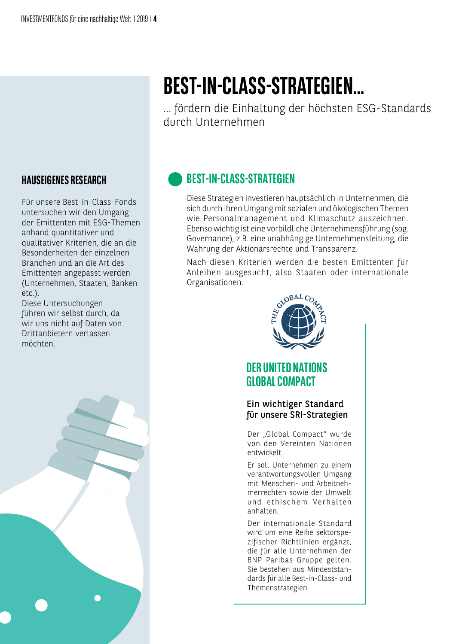## **BEST-IN-CLASS-STRATEGIEN…**

… fördern die Einhaltung der höchsten ESG-Standards durch Unternehmen

### **BEST-IN-CLASS-STRATEGIEN**

Diese Strategien investieren hauptsächlich in Unternehmen, die sich durch ihren Umgang mit sozialen und ökologischen Themen wie Personalmanagement und Klimaschutz auszeichnen. Ebenso wichtig ist eine vorbildliche Unternehmensführung (sog. Governance), z.B. eine unabhängige Unternehmensleitung, die Wahrung der Aktionärsrechte und Transparenz.

Nach diesen Kriterien werden die besten Emittenten für Anleihen ausgesucht, also Staaten oder internationale Organisationen.



#### **HAUSEIGENES RESEARCH**

Für unsere Best-in-Class-Fonds untersuchen wir den Umgang der Emittenten mit ESG-Themen anhand quantitativer und qualitativer Kriterien, die an die Besonderheiten der einzelnen Branchen und an die Art des Emittenten angepasst werden (Unternehmen, Staaten, Banken etc.).

Diese Untersuchungen führen wir selbst durch, da wir uns nicht auf Daten von Drittanbietern verlassen möchten.

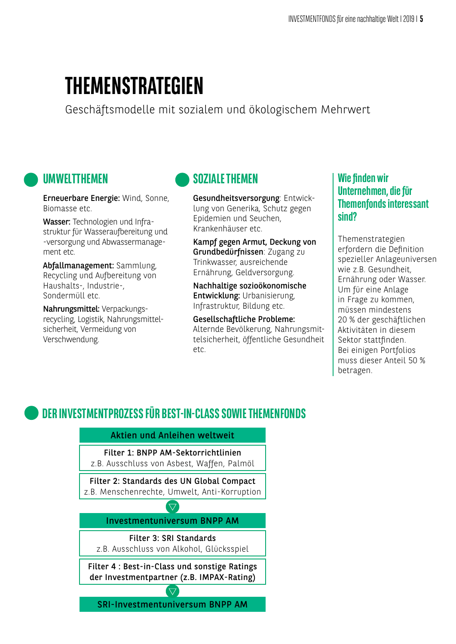### **THEMENSTRATEGIEN**

Geschäftsmodelle mit sozialem und ökologischem Mehrwert

#### **UMWELTTHEMEN**

Erneuerbare Energie: Wind, Sonne, Biomasse etc.

Wasser: Technologien und Infrastruktur für Wasseraufbereitung und -versorgung und Abwassermanagement etc.

Abfallmanagement: Sammlung, Recycling und Aufbereitung von Haushalts-, Industrie-, Sondermüll etc.

Nahrungsmittel: Verpackungsrecycling, Logistik, Nahrungsmittelsicherheit, Vermeidung von Verschwendung.

#### **SOZIALE THEMEN**

Gesundheitsversorgung: Entwicklung von Generika, Schutz gegen Epidemien und Seuchen, Krankenhäuser etc.

Kampf gegen Armut, Deckung von Grundbedürfnissen: Zugang zu Trinkwasser, ausreichende Ernährung, Geldversorgung.

Nachhaltige sozioökonomische Entwicklung: Urbanisierung, Infrastruktur, Bildung etc.

Gesellschaftliche Probleme: Alternde Bevölkerung, Nahrungsmittelsicherheit, öffentliche Gesundheit etc.

#### **Wie finden wir Unternehmen, die für Themenfonds interessant sind?**

Themenstrategien erfordern die Definition spezieller Anlageuniversen wie z.B. Gesundheit, Ernährung oder Wasser. Um für eine Anlage in Frage zu kommen, müssen mindestens 20 % der geschäftlichen Aktivitäten in diesem Sektor stattfinden. Bei einigen Portfolios muss dieser Anteil 50 % betragen.

### **DER INVESTMENTPROZESS FÜR BEST-IN-CLASS SOWIE THEMENFONDS**

Aktien und Anleihen weltweit

Filter 1: BNPP AM-Sektorrichtlinien

z.B. Ausschluss von Asbest, Waffen, Palmöl

Filter 2: Standards des UN Global Compact z.B. Menschenrechte, Umwelt, Anti-Korruption

> $\overline{\nabla}$ Investmentuniversum BNPP AM

> > Filter 3: SRI Standards

z.B. Ausschluss von Alkohol, Glücksspiel

Filter 4 : Best-in-Class und sonstige Ratings der Investmentpartner (z.B. IMPAX-Rating)

 $\overline{\nabla}$ SRI-Investmentuniversum BNPP AM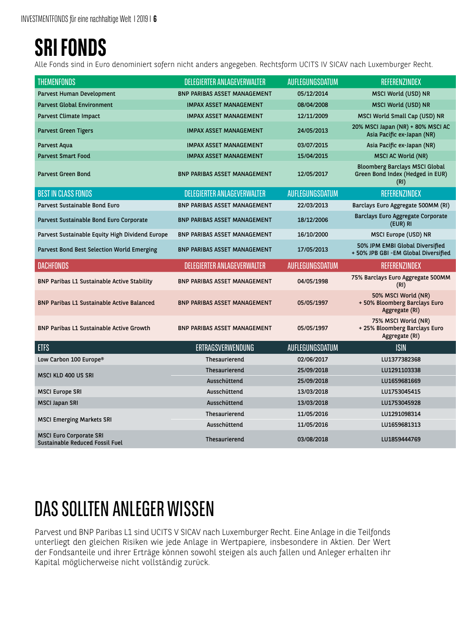### **SRI FONDS**

Alle Fonds sind in Euro denominiert sofern nicht anders angegeben. Rechtsform UCITS IV SICAV nach Luxemburger Recht.

| <b>THEMENFONDS</b>                              | <b>DELEGIERTER ANLAGEVERWALTER</b>  | AUFLEGUNGSDATUM | REFERENZINDEX                                                                     |
|-------------------------------------------------|-------------------------------------|-----------------|-----------------------------------------------------------------------------------|
| Parvest Human Development                       | <b>BNP PARIBAS ASSET MANAGEMENT</b> | 05/12/2014      | MSCI World (USD) NR                                                               |
| <b>Parvest Global Environment</b>               | <b>IMPAX ASSET MANAGEMENT</b>       | 08/04/2008      | MSCI World (USD) NR                                                               |
| Parvest Climate Impact                          | <b>IMPAX ASSET MANAGEMENT</b>       | 12/11/2009      | MSCI World Small Cap (USD) NR                                                     |
| <b>Parvest Green Tigers</b>                     | <b>IMPAX ASSET MANAGEMENT</b>       | 24/05/2013      | 20% MSCI Japan (NR) + 80% MSCI AC<br>Asia Pacific ex-Japan (NR)                   |
| Parvest Aqua                                    | <b>IMPAX ASSET MANAGEMENT</b>       | 03/07/2015      | Asia Pacific ex-Japan (NR)                                                        |
| <b>Parvest Smart Food</b>                       | <b>IMPAX ASSET MANAGEMENT</b>       | 15/04/2015      | <b>MSCI AC World (NR)</b>                                                         |
| <b>Parvest Green Bond</b>                       | <b>BNP PARIBAS ASSET MANAGEMENT</b> | 12/05/2017      | <b>Bloomberg Barclays MSCI Global</b><br>Green Bond Index (Hedged in EUR)<br>(RI) |
| <b>BEST IN CLASS FONDS</b>                      | <b>DELEGIERTER ANLAGEVERWALTER</b>  | AUFLEGUNGSDATUM | REFERENZINDEX                                                                     |
| Parvest Sustainable Bond Euro                   | <b>BNP PARIBAS ASSET MANAGEMENT</b> | 22/03/2013      | Barclays Euro Aggregate 500MM (RI)                                                |
| Parvest Sustainable Bond Euro Corporate         | <b>BNP PARIBAS ASSET MANAGEMENT</b> | 18/12/2006      | Barclays Euro Aggregate Corporate<br>(EUR) RI                                     |
| Parvest Sustainable Equity High Dividend Europe | <b>BNP PARIBAS ASSET MANAGEMENT</b> | 16/10/2000      | MSCI Europe (USD) NR                                                              |
| Parvest Bond Best Selection World Emerging      | <b>BNP PARIBAS ASSET MANAGEMENT</b> | 17/05/2013      | 50% JPM EMBI Global Diversified<br>+ 50% JPB GBI -EM Global Diversified           |
| <b>DACHFONDS</b>                                | <b>DELEGIERTER ANLAGEVERWALTER</b>  | AUFLEGUNGSDATUM | REFERENZINDEX                                                                     |
| BNP Paribas L1 Sustainable Active Stability     | <b>BNP PARIBAS ASSET MANAGEMENT</b> | 04/05/1998      | 75% Barclays Euro Aggregate 500MM<br>(RI)                                         |
| BNP Paribas L1 Sustainable Active Balanced      | <b>BNP PARIBAS ASSET MANAGEMENT</b> | 05/05/1997      | 50% MSCI World (NR)<br>+ 50% Bloomberg Barclays Euro                              |
|                                                 |                                     |                 | Aggregate (RI)                                                                    |
| <b>BNP Paribas L1 Sustainable Active Growth</b> | <b>BNP PARIBAS ASSET MANAGEMENT</b> | 05/05/1997      | 75% MSCI World (NR)<br>+ 25% Bloomberg Barclays Euro<br>Aggregate (RI)            |
| <b>ETFS</b>                                     | <b>ERTRAGSVERWENDUNG</b>            | AUFLEGUNGSDATUM | <b>ISIN</b>                                                                       |
| Low Carbon 100 Europe®                          | Thesaurierend                       | 02/06/2017      | LU1377382368                                                                      |
|                                                 | Thesaurierend                       | 25/09/2018      | LU1291103338                                                                      |
| MSCI KLD 400 US SRI                             | Ausschüttend                        | 25/09/2018      | LU1659681669                                                                      |
| <b>MSCI Europe SRI</b>                          | Ausschüttend                        | 13/03/2018      | LU1753045415                                                                      |
| <b>MSCI Japan SRI</b>                           | Ausschüttend                        | 13/03/2018      | LU1753045928                                                                      |
|                                                 | Thesaurierend                       | 11/05/2016      | LU1291098314                                                                      |
| <b>MSCI Emerging Markets SRI</b>                | Ausschüttend                        | 11/05/2016      | LU1659681313                                                                      |

### DAS SOLLTEN ANLEGER WISSEN

Parvest und BNP Paribas L1 sind UCITS V SICAV nach Luxemburger Recht. Eine Anlage in die Teilfonds unterliegt den gleichen Risiken wie jede Anlage in Wertpapiere, insbesondere in Aktien. Der Wert der Fondsanteile und ihrer Erträge können sowohl steigen als auch fallen und Anleger erhalten ihr Kapital möglicherweise nicht vollständig zurück.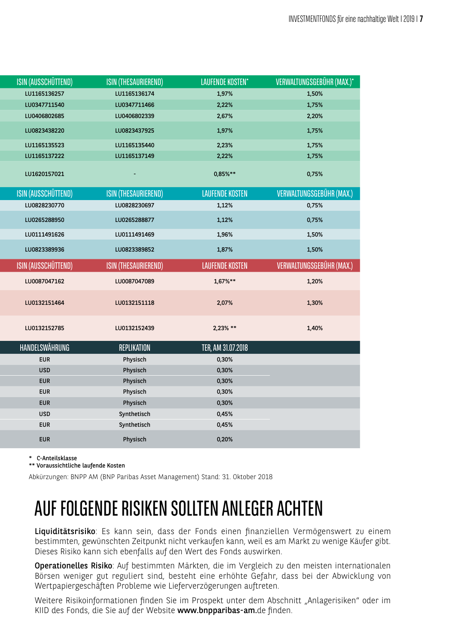| ISIN (AUSSCHÜTTEND) | ISIN (THESAURIEREND) | LAUFENDE KOSTEN*       | VERWALTUNGSGEBÜHR (MAX.)* |
|---------------------|----------------------|------------------------|---------------------------|
| LU1165136257        | LU1165136174         | 1,97%                  | 1,50%                     |
| LU0347711540        | LU0347711466         | 2,22%                  | 1,75%                     |
| LU0406802685        | LU0406802339         | 2,67%                  | 2,20%                     |
| LU0823438220        | LU0823437925         | 1,97%                  | 1,75%                     |
| LU1165135523        | LU1165135440         | 2,23%                  | 1,75%                     |
| LU1165137222        | LU1165137149         | 2,22%                  | 1,75%                     |
| LU1620157021        |                      | 0,85%**                | 0,75%                     |
| ISIN (AUSSCHÜTTEND) | ISIN (THESAURIEREND) | <b>LAUFENDE KOSTEN</b> | VERWALTUNGSGEBÜHR (MAX.)  |
| LU0828230770        | LU0828230697         | 1,12%                  | 0,75%                     |
| LU0265288950        | LU0265288877         | 1,12%                  | 0,75%                     |
| LU0111491626        | LU0111491469         | 1,96%                  | 1,50%                     |
| LU0823389936        | LU0823389852         | 1,87%                  | 1,50%                     |
| ISIN (AUSSCHÜTTEND) | ISIN (THESAURIEREND) | <b>LAUFENDE KOSTEN</b> | VERWALTUNGSGEBÜHR (MAX.)  |
|                     |                      |                        |                           |
| LU0087047162        | LU0087047089         | $1,67\%**$             | 1,20%                     |
| LU0132151464        | LU0132151118         | 2,07%                  | 1,30%                     |
| LU0132152785        | LU0132152439         | $2,23\%$ **            | 1,40%                     |
| HANDELSWÄHRUNG      | REPLIKATION          | TER, AM 31.07.2018     |                           |
| <b>EUR</b>          | Physisch             | 0,30%                  |                           |
| <b>USD</b>          | Physisch             | 0,30%                  |                           |
| <b>EUR</b>          | Physisch             | 0,30%                  |                           |
| <b>EUR</b>          | Physisch             | 0,30%                  |                           |
| <b>EUR</b>          | Physisch             | 0,30%                  |                           |
| <b>USD</b>          | Synthetisch          | 0,45%                  |                           |
| <b>EUR</b>          | Synthetisch          | 0,45%                  |                           |

\* C-Anteilsklasse

\*\* Voraussichtliche laufende Kosten

Abkürzungen: BNPP AM (BNP Paribas Asset Management) Stand: 31. Oktober 2018

### AUF FOLGENDE RISIKEN SOLLTEN ANLEGER ACHTEN

Liquiditätsrisiko: Es kann sein, dass der Fonds einen finanziellen Vermögenswert zu einem bestimmten, gewünschten Zeitpunkt nicht verkaufen kann, weil es am Markt zu wenige Käufer gibt. Dieses Risiko kann sich ebenfalls auf den Wert des Fonds auswirken.

Operationelles Risiko: Auf bestimmten Märkten, die im Vergleich zu den meisten internationalen Börsen weniger gut reguliert sind, besteht eine erhöhte Gefahr, dass bei der Abwicklung von Wertpapiergeschäften Probleme wie Lieferverzögerungen auftreten.

Weitere Risikoinformationen finden Sie im Prospekt unter dem Abschnitt "Anlagerisiken" oder im KIID des Fonds, die Sie auf der Website www.bnpparibas-am.de finden.